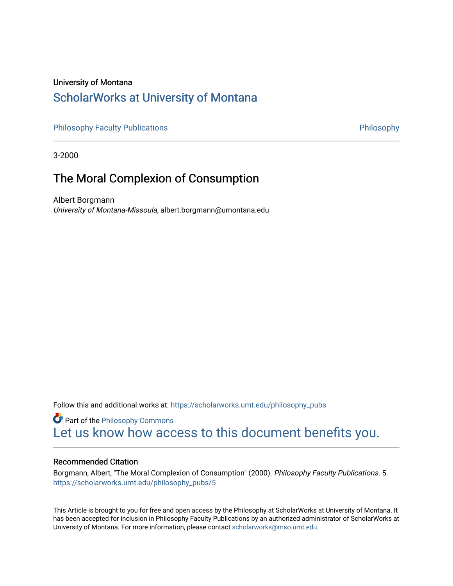#### University of Montana

## [ScholarWorks at University of Montana](https://scholarworks.umt.edu/)

[Philosophy Faculty Publications](https://scholarworks.umt.edu/philosophy_pubs) **Philosophy** Philosophy

3-2000

# The Moral Complexion of Consumption

Albert Borgmann University of Montana-Missoula, albert.borgmann@umontana.edu

Follow this and additional works at: [https://scholarworks.umt.edu/philosophy\\_pubs](https://scholarworks.umt.edu/philosophy_pubs?utm_source=scholarworks.umt.edu%2Fphilosophy_pubs%2F5&utm_medium=PDF&utm_campaign=PDFCoverPages)

**Part of the Philosophy Commons** [Let us know how access to this document benefits you.](https://goo.gl/forms/s2rGfXOLzz71qgsB2) 

#### Recommended Citation

Borgmann, Albert, "The Moral Complexion of Consumption" (2000). Philosophy Faculty Publications. 5. [https://scholarworks.umt.edu/philosophy\\_pubs/5](https://scholarworks.umt.edu/philosophy_pubs/5?utm_source=scholarworks.umt.edu%2Fphilosophy_pubs%2F5&utm_medium=PDF&utm_campaign=PDFCoverPages) 

This Article is brought to you for free and open access by the Philosophy at ScholarWorks at University of Montana. It has been accepted for inclusion in Philosophy Faculty Publications by an authorized administrator of ScholarWorks at University of Montana. For more information, please contact [scholarworks@mso.umt.edu.](mailto:scholarworks@mso.umt.edu)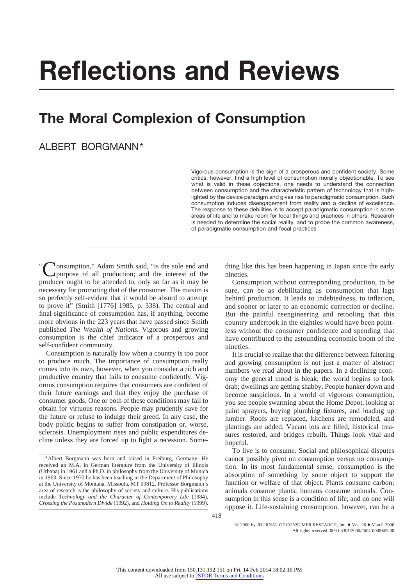# **Reflections and Reviews**

# **The Moral Complexion of Consumption**

### ALBERT BORGMANN\*

Vigorous consumption is the sign of a prosperous and confident society. Some critics, however, find a high level of consumption morally objectionable. To see what is valid in these objections, one needs to understand the connection between consumption and the characteristic pattern of technology that is highlighted by the device paradigm and gives rise to paradigmatic consumption. Such consumption induces disengagement from reality and a decline of excellence. The response to these debilities is to accept paradigmatic consumption in some areas of life and to make room for focal things and practices in others. Research is needed to determine the social reality, and to probe the common awareness, of paradigmatic consumption and focal practices.

" **Monsumption,"** Adam Smith said, "is the sole end and purpose of all production; and the interest of the producer ought to be attended to, only so far as it may be necessary for promoting that of the consumer. The maxim is so perfectly self-evident that it would be absurd to attempt to prove it" (Smith [1776] 1985, p. 338). The central and final significance of consumption has, if anything, become more obvious in the 223 years that have passed since Smith published *The Wealth of Nations.* Vigorous and growing consumption is the chief indicator of a prosperous and self-confident community.

Consumption is naturally low when a country is too poor to produce much. The importance of consumption really comes into its own, however, when you consider a rich and productive country that fails to consume confidently. Vigorous consumption requires that consumers are confident of their future earnings and that they enjoy the purchase of consumer goods. One or both of these conditions may fail to obtain for virtuous reasons. People may prudently save for the future or refuse to indulge their greed. In any case, the body politic begins to suffer from constipation or, worse, sclerosis. Unemployment rises and public expenditures decline unless they are forced up to fight a recession. Something like this has been happening in Japan since the early nineties.

Consumption without corresponding production, to be sure, can be as debilitating as consumption that lags behind production. It leads to indebtedness, to inflation, and sooner or later to an economic correction or decline. But the painful reengineering and retooling that this country undertook in the eighties would have been pointless without the consumer confidence and spending that have contributed to the astounding economic boom of the nineties.

It is crucial to realize that the difference between faltering and growing consumption is not just a matter of abstract numbers we read about in the papers. In a declining economy the general mood is bleak; the world begins to look drab; dwellings are getting shabby. People hunker down and become suspicious. In a world of vigorous consumption, you see people swarming about the Home Depot, looking at paint sprayers, buying plumbing fixtures, and loading up lumber. Roofs are replaced, kitchens are remodeled, and plantings are added. Vacant lots are filled, historical treasures restored, and bridges rebuilt. Things look vital and hopeful.

To live is to consume. Social and philosophical disputes cannot possibly pivot on consumption versus no consumption. In its most fundamental sense, consumption is the absorption of something by some object to support the function or welfare of that object. Plants consume carbon; animals consume plants; humans consume animals. Consumption in this sense is a condition of life, and no one will oppose it. Life-sustaining consumption, however, can be a

<sup>\*</sup>Albert Borgmann was born and raised in Freiburg, Germany. He received an M.A. in German literature from the University of Illinois (Urbana) in 1961 and a Ph.D. in philosophy from the University of Munich in 1963. Since 1970 he has been teaching in the Department of Philosophy at the University of Montana, Missoula, MT 59812. Professor Borgmann's area of research is the philosophy of society and culture. His publications include *Technology and the Character of Contemporary Life* (1984), *Crossing the Postmodern Divide* (1992), and *Holding On to Reality* (1999).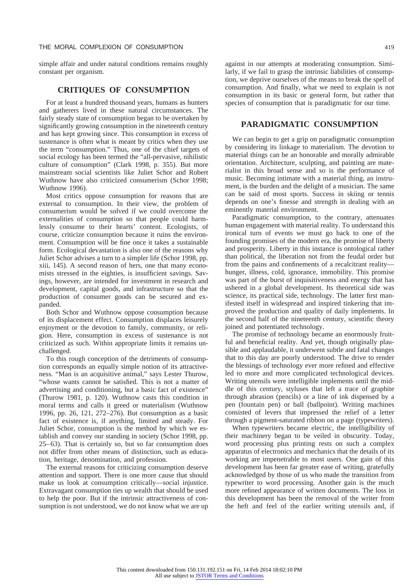simple affair and under natural conditions remains roughly constant per organism.

#### **CRITIQUES OF CONSUMPTION**

For at least a hundred thousand years, humans as hunters and gatherers lived in these natural circumstances. The fairly steady state of consumption began to be overtaken by significantly growing consumption in the nineteenth century and has kept growing since. This consumption in excess of sustenance is often what is meant by critics when they use the term "consumption." Thus, one of the chief targets of social ecology has been termed the "all-pervasive, nihilistic culture of consumption" (Clark 1998, p. 355). But more mainstream social scientists like Juliet Schor and Robert Wuthnow have also criticized consumerism (Schor 1998; Wuthnow 1996).

Most critics oppose consumption for reasons that are external to consumption. In their view, the problem of consumerism would be solved if we could overcome the externalities of consumption so that people could harmlessly consume to their hearts' content. Ecologists, of course, criticize consumption because it ruins the environment. Consumption will be fine once it takes a sustainable form. Ecological devastation is also one of the reasons why Juliet Schor advises a turn to a simpler life (Schor 1998, pp. xiii, 145). A second reason of hers, one that many economists stressed in the eighties, is insufficient savings. Savings, however, are intended for investment in research and development, capital goods, and infrastructure so that the production of consumer goods can be secured and expanded.

Both Schor and Wuthnow oppose consumption because of its displacement effect. Consumption displaces leisurely enjoyment or the devotion to family, community, or religion. Here, consumption in excess of sustenance is not criticized as such. Within appropriate limits it remains unchallenged.

To this rough conception of the detriments of consumption corresponds an equally simple notion of its attractiveness. "Man is an acquisitive animal," says Lester Thurow, "whose wants cannot be satisfied. This is not a matter of advertising and conditioning, but a basic fact of existence" (Thurow 1981, p. 120). Wuthnow casts this condition in moral terms and calls it greed or materialism (Wuthnow 1996, pp. 26, 121, 272–276). But consumption as a basic fact of existence is, if anything, limited and steady. For Juliet Schor, consumption is the method by which we establish and convey our standing in society (Schor 1998, pp. 25–63). That is certainly so, but so far consumption does not differ from other means of distinction, such as education, heritage, denomination, and profession.

The external reasons for criticizing consumption deserve attention and support. There is one more cause that should make us look at consumption critically—social injustice. Extravagant consumption ties up wealth that should be used to help the poor. But if the intrinsic attractiveness of consumption is not understood, we do not know what we are up

against in our attempts at moderating consumption. Similarly, if we fail to grasp the intrinsic liabilities of consumption, we deprive ourselves of the means to break the spell of consumption. And finally, what we need to explain is not consumption in its basic or general form, but rather that species of consumption that is paradigmatic for our time.

#### **PARADIGMATIC CONSUMPTION**

We can begin to get a grip on paradigmatic consumption by considering its linkage to materialism. The devotion to material things can be an honorable and morally admirable orientation. Architecture, sculpting, and painting are materialist in this broad sense and so is the performance of music. Becoming intimate with a material thing, an instrument, is the burden and the delight of a musician. The same can be said of most sports. Success in skiing or tennis depends on one's finesse and strength in dealing with an eminently material environment.

Paradigmatic consumption, to the contrary, attenuates human engagement with material reality. To understand this ironical turn of events we must go back to one of the founding promises of the modern era, the promise of liberty and prosperity. Liberty in this instance is ontological rather than political, the liberation not from the feudal order but from the pains and confinements of a recalcitrant reality hunger, illness, cold, ignorance, immobility. This promise was part of the burst of inquisitiveness and energy that has ushered in a global development. Its theoretical side was science, its practical side, technology. The latter first manifested itself in widespread and inspired tinkering that improved the production and quality of daily implements. In the second half of the nineteenth century, scientific theory joined and potentiated technology.

The promise of technology became an enormously fruitful and beneficial reality. And yet, though originally plausible and applaudable, it underwent subtle and fatal changes that to this day are poorly understood. The drive to render the blessings of technology ever more refined and effective led to more and more complicated technological devices. Writing utensils were intelligible implements until the middle of this century, styluses that left a trace of graphite through abrasion (pencils) or a line of ink dispensed by a pen (fountain pen) or ball (ballpoint). Writing machines consisted of levers that impressed the relief of a letter through a pigment-saturated ribbon on a page (typewriters).

When typewriters became electric, the intelligibility of their machinery began to be veiled in obscurity. Today, word processing plus printing rests on such a complex apparatus of electronics and mechanics that the details of its working are impenetrable to most users. One gain of this development has been far greater ease of writing, gratefully acknowledged by those of us who made the transition from typewriter to word processing. Another gain is the much more refined appearance of written documents. The loss in this development has been the removal of the writer from the heft and feel of the earlier writing utensils and, if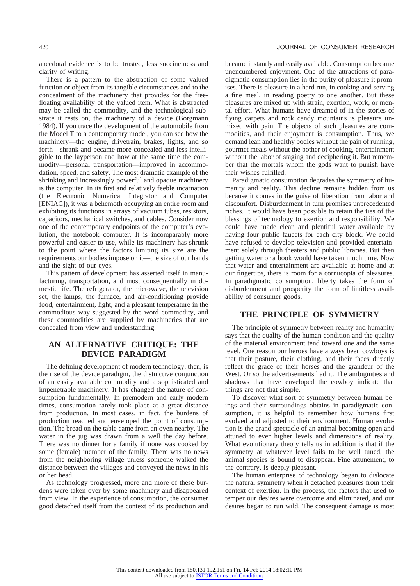anecdotal evidence is to be trusted, less succinctness and clarity of writing.

There is a pattern to the abstraction of some valued function or object from its tangible circumstances and to the concealment of the machinery that provides for the freefloating availability of the valued item. What is abstracted may be called the commodity, and the technological substrate it rests on, the machinery of a device (Borgmann 1984). If you trace the development of the automobile from the Model T to a contemporary model, you can see how the machinery—the engine, drivetrain, brakes, lights, and so forth—shrank and became more concealed and less intelligible to the layperson and how at the same time the commodity—personal transportation—improved in accommodation, speed, and safety. The most dramatic example of the shrinking and increasingly powerful and opaque machinery is the computer. In its first and relatively feeble incarnation (the Electronic Numerical Integrator and Computer [ENIAC]), it was a behemoth occupying an entire room and exhibiting its functions in arrays of vacuum tubes, resistors, capacitors, mechanical switches, and cables. Consider now one of the contemporary endpoints of the computer's evolution, the notebook computer. It is incomparably more powerful and easier to use, while its machinery has shrunk to the point where the factors limiting its size are the requirements our bodies impose on it—the size of our hands and the sight of our eyes.

This pattern of development has asserted itself in manufacturing, transportation, and most consequentially in domestic life. The refrigerator, the microwave, the television set, the lamps, the furnace, and air-conditioning provide food, entertainment, light, and a pleasant temperature in the commodious way suggested by the word commodity, and these commodities are supplied by machineries that are concealed from view and understanding.

#### **AN ALTERNATIVE CRITIQUE: THE DEVICE PARADIGM**

The defining development of modern technology, then, is the rise of the device paradigm, the distinctive conjunction of an easily available commodity and a sophisticated and impenetrable machinery. It has changed the nature of consumption fundamentally. In premodern and early modern times, consumption rarely took place at a great distance from production. In most cases, in fact, the burdens of production reached and enveloped the point of consumption. The bread on the table came from an oven nearby. The water in the jug was drawn from a well the day before. There was no dinner for a family if none was cooked by some (female) member of the family. There was no news from the neighboring village unless someone walked the distance between the villages and conveyed the news in his or her head.

As technology progressed, more and more of these burdens were taken over by some machinery and disappeared from view. In the experience of consumption, the consumer good detached itself from the context of its production and became instantly and easily available. Consumption became unencumbered enjoyment. One of the attractions of paradigmatic consumption lies in the purity of pleasure it promises. There is pleasure in a hard run, in cooking and serving a fine meal, in reading poetry to one another. But these pleasures are mixed up with strain, exertion, work, or mental effort. What humans have dreamed of in the stories of flying carpets and rock candy mountains is pleasure unmixed with pain. The objects of such pleasures are commodities, and their enjoyment is consumption. Thus, we demand lean and healthy bodies without the pain of running, gourmet meals without the bother of cooking, entertainment without the labor of staging and deciphering it. But remember that the mortals whom the gods want to punish have their wishes fulfilled.

Paradigmatic consumption degrades the symmetry of humanity and reality. This decline remains hidden from us because it comes in the guise of liberation from labor and discomfort. Disburdenment in turn promises unprecedented riches. It would have been possible to retain the ties of the blessings of technology to exertion and responsibility. We could have made clean and plentiful water available by having four public faucets for each city block. We could have refused to develop television and provided entertainment solely through theaters and public libraries. But then getting water or a book would have taken much time. Now that water and entertainment are available at home and at our fingertips, there is room for a cornucopia of pleasures. In paradigmatic consumption, liberty takes the form of disburdenment and prosperity the form of limitless availability of consumer goods.

#### **THE PRINCIPLE OF SYMMETRY**

The principle of symmetry between reality and humanity says that the quality of the human condition and the quality of the material environment tend toward one and the same level. One reason our heroes have always been cowboys is that their posture, their clothing, and their faces directly reflect the grace of their horses and the grandeur of the West. Or so the advertisements had it. The ambiguities and shadows that have enveloped the cowboy indicate that things are not that simple.

To discover what sort of symmetry between human beings and their surroundings obtains in paradigmatic consumption, it is helpful to remember how humans first evolved and adjusted to their environment. Human evolution is the grand spectacle of an animal becoming open and attuned to ever higher levels and dimensions of reality. What evolutionary theory tells us in addition is that if the symmetry at whatever level fails to be well tuned, the animal species is bound to disappear. Fine attunement, to the contrary, is deeply pleasant.

The human enterprise of technology began to dislocate the natural symmetry when it detached pleasures from their context of exertion. In the process, the factors that used to temper our desires were overcome and eliminated, and our desires began to run wild. The consequent damage is most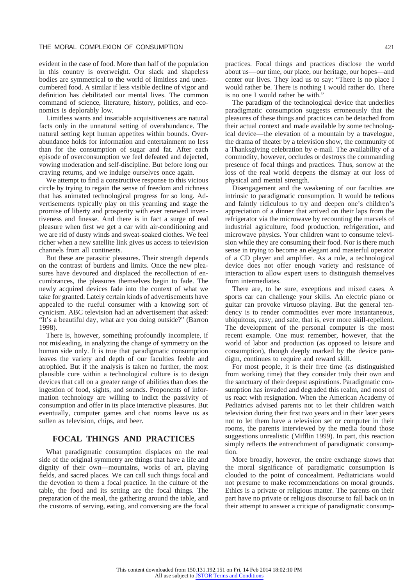evident in the case of food. More than half of the population in this country is overweight. Our slack and shapeless bodies are symmetrical to the world of limitless and unencumbered food. A similar if less visible decline of vigor and definition has debilitated our mental lives. The common command of science, literature, history, politics, and economics is deplorably low.

Limitless wants and insatiable acquisitiveness are natural facts only in the unnatural setting of overabundance. The natural setting kept human appetites within bounds. Overabundance holds for information and entertainment no less than for the consumption of sugar and fat. After each episode of overconsumption we feel defeated and dejected, vowing moderation and self-discipline. But before long our craving returns, and we indulge ourselves once again.

We attempt to find a constructive response to this vicious circle by trying to regain the sense of freedom and richness that has animated technological progress for so long. Advertisements typically play on this yearning and stage the promise of liberty and prosperity with ever renewed inventiveness and finesse. And there is in fact a surge of real pleasure when first we get a car with air-conditioning and we are rid of dusty winds and sweat-soaked clothes. We feel richer when a new satellite link gives us access to television channels from all continents.

But these are parasitic pleasures. Their strength depends on the contrast of burdens and limits. Once the new pleasures have devoured and displaced the recollection of encumbrances, the pleasures themselves begin to fade. The newly acquired devices fade into the context of what we take for granted. Lately certain kinds of advertisements have appealed to the rueful consumer with a knowing sort of cynicism. ABC television had an advertisement that asked: "It's a beautiful day, what are you doing outside?" (Barron 1998).

There is, however, something profoundly incomplete, if not misleading, in analyzing the change of symmetry on the human side only. It is true that paradigmatic consumption leaves the variety and depth of our faculties feeble and atrophied. But if the analysis is taken no further, the most plausible cure within a technological culture is to design devices that call on a greater range of abilities than does the ingestion of food, sights, and sounds. Proponents of information technology are willing to indict the passivity of consumption and offer in its place interactive pleasures. But eventually, computer games and chat rooms leave us as sullen as television, chips, and beer.

#### **FOCAL THINGS AND PRACTICES**

What paradigmatic consumption displaces on the real side of the original symmetry are things that have a life and dignity of their own—mountains, works of art, playing fields, and sacred places. We can call such things focal and the devotion to them a focal practice. In the culture of the table, the food and its setting are the focal things. The preparation of the meal, the gathering around the table, and the customs of serving, eating, and conversing are the focal

practices. Focal things and practices disclose the world about us—our time, our place, our heritage, our hopes—and center our lives. They lead us to say: "There is no place I would rather be. There is nothing I would rather do. There is no one I would rather be with."

The paradigm of the technological device that underlies paradigmatic consumption suggests erroneously that the pleasures of these things and practices can be detached from their actual context and made available by some technological device—the elevation of a mountain by a travelogue, the drama of theater by a television show, the community of a Thanksgiving celebration by e-mail. The availability of a commodity, however, occludes or destroys the commanding presence of focal things and practices. Thus, sorrow at the loss of the real world deepens the dismay at our loss of physical and mental strength.

Disengagement and the weakening of our faculties are intrinsic to paradigmatic consumption. It would be tedious and faintly ridiculous to try and deepen one's children's appreciation of a dinner that arrived on their laps from the refrigerator via the microwave by recounting the marvels of industrial agriculture, food production, refrigeration, and microwave physics. Your children want to consume television while they are consuming their food. Nor is there much sense in trying to become an elegant and masterful operator of a CD player and amplifier. As a rule, a technological device does not offer enough variety and resistance of interaction to allow expert users to distinguish themselves from intermediates.

There are, to be sure, exceptions and mixed cases. A sports car can challenge your skills. An electric piano or guitar can provoke virtuoso playing. But the general tendency is to render commodities ever more instantaneous, ubiquitous, easy, and safe, that is, ever more skill-repellent. The development of the personal computer is the most recent example. One must remember, however, that the world of labor and production (as opposed to leisure and consumption), though deeply marked by the device paradigm, continues to require and reward skill.

For most people, it is their free time (as distinguished from working time) that they consider truly their own and the sanctuary of their deepest aspirations. Paradigmatic consumption has invaded and degraded this realm, and most of us react with resignation. When the American Academy of Pediatrics advised parents not to let their children watch television during their first two years and in their later years not to let them have a television set or computer in their rooms, the parents interviewed by the media found those suggestions unrealistic (Mifflin 1999). In part, this reaction simply reflects the entrenchment of paradigmatic consumption.

More broadly, however, the entire exchange shows that the moral significance of paradigmatic consumption is clouded to the point of concealment. Pediatricians would not presume to make recommendations on moral grounds. Ethics is a private or religious matter. The parents on their part have no private or religious discourse to fall back on in their attempt to answer a critique of paradigmatic consump